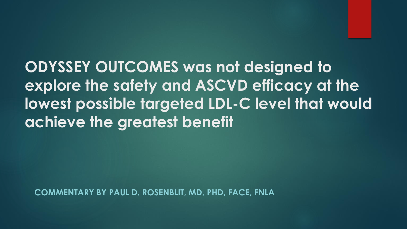**ODYSSEY OUTCOMES was not designed to explore the safety and ASCVD efficacy at the lowest possible targeted LDL-C level that would achieve the greatest benefit** 

**COMMENTARY BY PAUL D. ROSENBLIT, MD, PHD, FACE, FNLA**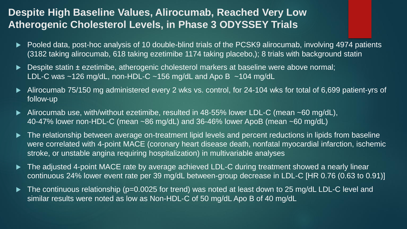## **Despite High Baseline Values, Alirocumab, Reached Very Low Atherogenic Cholesterol Levels, in Phase 3 ODYSSEY Trials**

- Pooled data, post-hoc analysis of 10 double-blind trials of the PCSK9 alirocumab, involving 4974 patients (3182 taking alirocumab, 618 taking ezetimibe 1174 taking placebo,); 8 trials with background statin
- Despite statin ± ezetimibe, atherogenic cholesterol markers at baseline were above normal; LDL-C was  $\sim$ 126 mg/dL, non-HDL-C  $\sim$ 156 mg/dL and Apo B  $\sim$ 104 mg/dL
- Alirocumab 75/150 mg administered every 2 wks vs. control, for 24-104 wks for total of 6,699 patient-yrs of follow-up
- Alirocumab use, with/without ezetimibe, resulted in 48-55% lower LDL-C (mean ~60 mg/dL), 40-47% lower non-HDL-C (mean ~86 mg/dL) and 36-46% lower ApoB (mean ~60 mg/dL)
- The relationship between average on-treatment lipid levels and percent reductions in lipids from baseline were correlated with 4-point MACE (coronary heart disease death, nonfatal myocardial infarction, ischemic stroke, or unstable angina requiring hospitalization) in multivariable analyses
- The adjusted 4-point MACE rate by average achieved LDL-C during treatment showed a nearly linear continuous 24% lower event rate per 39 mg/dL between-group decrease in LDL-C [HR 0.76 (0.63 to 0.91)]
- The continuous relationship (p=0.0025 for trend) was noted at least down to 25 mg/dL LDL-C level and similar results were noted as low as Non-HDL-C of 50 mg/dL Apo B of 40 mg/dL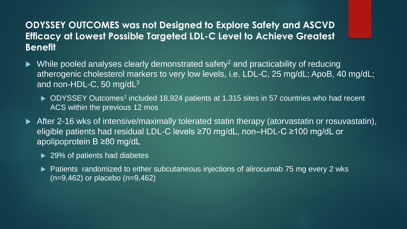### **ODYSSEY OUTCOMES was not Designed to Explore Safety and ASCVD Efficacy at Lowest Possible Targeted LDL-C Level to Achieve Greatest Benefit**

- $\blacktriangleright$  While pooled analyses clearly demonstrated safety<sup>2</sup> and practicability of reducing atherogenic cholesterol markers to very low levels, i.e. LDL-C, 25 mg/dL; ApoB, 40 mg/dL; and non-HDL-C, 50 mg/dL<sup>3</sup>
	- ▶ ODYSSEY Outcomes<sup>1</sup> included 18,924 patients at 1,315 sites in 57 countries who had recent ACS within the previous 12 mos
- After 2-16 wks of intensive/maximally tolerated statin therapy (atorvastatin or rosuvastatin), eligible patients had residual LDL-C levels ≥70 mg/dL, non–HDL-C ≥100 mg/dL or apolipoprotein B ≥80 mg/dL
	- **► 29% of patients had diabetes**
	- ▶ Patients randomized to either subcutaneous injections of alirocumab 75 mg every 2 wks (n=9,462) or placebo (n=9,462)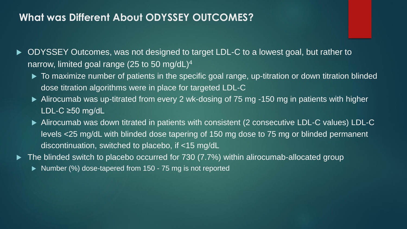### **What was Different About ODYSSEY OUTCOMES?**

- ▶ ODYSSEY Outcomes, was not designed to target LDL-C to a lowest goal, but rather to narrow, limited goal range (25 to 50 mg/dL)<sup>4</sup>
	- $\blacktriangleright$  To maximize number of patients in the specific goal range, up-titration or down titration blinded dose titration algorithms were in place for targeted LDL-C
	- ▶ Alirocumab was up-titrated from every 2 wk-dosing of 75 mg -150 mg in patients with higher LDL-C ≥50 mg/dL
	- Alirocumab was down titrated in patients with consistent (2 consecutive LDL-C values) LDL-C levels <25 mg/dL with blinded dose tapering of 150 mg dose to 75 mg or blinded permanent discontinuation, switched to placebo, if <15 mg/dL
- The blinded switch to placebo occurred for 730 (7.7%) within alirocumab-allocated group
	- ▶ Number (%) dose-tapered from 150 75 mg is not reported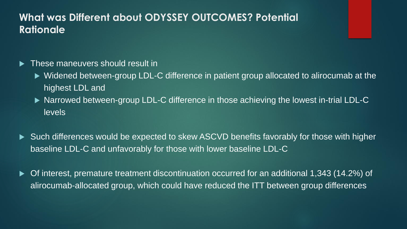## **What was Different about ODYSSEY OUTCOMES? Potential Rationale**

#### **Figure 1** These maneuvers should result in

- ▶ Widened between-group LDL-C difference in patient group allocated to alirocumab at the highest LDL and
- ▶ Narrowed between-group LDL-C difference in those achieving the lowest in-trial LDL-C levels
- ▶ Such differences would be expected to skew ASCVD benefits favorably for those with higher baseline LDL-C and unfavorably for those with lower baseline LDL-C
- Of interest, premature treatment discontinuation occurred for an additional 1,343 (14.2%) of alirocumab-allocated group, which could have reduced the ITT between group differences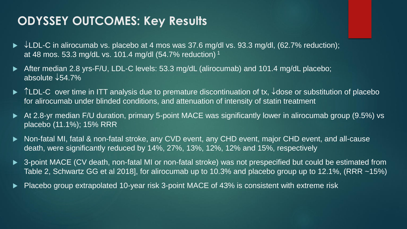# **ODYSSEY OUTCOMES: Key Results**

- $\blacktriangleright \downarrow$ LDL-C in alirocumab vs. placebo at 4 mos was 37.6 mg/dl vs. 93.3 mg/dl, (62.7% reduction); at 48 mos. 53.3 mg/dL vs. 101.4 mg/dl (54.7% reduction) <sup>1</sup>
- After median 2.8 yrs-F/U, LDL-C levels: 53.3 mg/dL (alirocumab) and 101.4 mg/dL placebo; absolute  $\sqrt{54.7\%}$
- $\triangleright$  TLDL-C over time in ITT analysis due to premature discontinuation of tx,  $\sqrt{d}$ ose or substitution of placebo for alirocumab under blinded conditions, and attenuation of intensity of statin treatment
- At 2.8-yr median F/U duration, primary 5-point MACE was significantly lower in alirocumab group (9.5%) vs placebo (11.1%); 15% RRR
- ▶ Non-fatal MI, fatal & non-fatal stroke, any CVD event, any CHD event, major CHD event, and all-cause death, were significantly reduced by 14%, 27%, 13%, 12%, 12% and 15%, respectively
- 3-point MACE (CV death, non-fatal MI or non-fatal stroke) was not prespecified but could be estimated from Table 2, Schwartz GG et al 2018], for alirocumab up to 10.3% and placebo group up to 12.1%, (RRR ~15%)
- Placebo group extrapolated 10-year risk 3-point MACE of 43% is consistent with extreme risk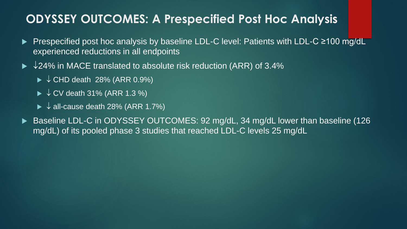## **ODYSSEY OUTCOMES: A Prespecified Post Hoc Analysis**

- Prespecified post hoc analysis by baseline LDL-C level: Patients with LDL-C ≥100 mg/dL experienced reductions in all endpoints
- $\blacktriangleright$   $\sqrt{24\%}$  in MACE translated to absolute risk reduction (ARR) of 3.4%
	- $\triangleright \sqrt{\text{CHD}}$  death 28% (ARR 0.9%)
	- $\triangleright \downarrow$  CV death 31% (ARR 1.3 %)
	- $\blacktriangleright \downarrow$  all-cause death 28% (ARR 1.7%)
- Baseline LDL-C in ODYSSEY OUTCOMES: 92 mg/dL, 34 mg/dL lower than baseline (126 mg/dL) of its pooled phase 3 studies that reached LDL-C levels 25 mg/dL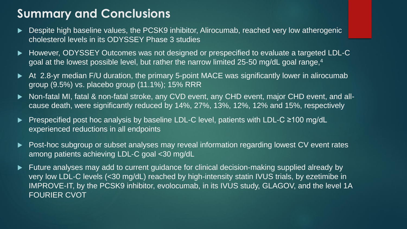# **Summary and Conclusions**

- ▶ Despite high baseline values, the PCSK9 inhibitor, Alirocumab, reached very low atherogenic cholesterol levels in its ODYSSEY Phase 3 studies
- ► However, ODYSSEY Outcomes was not designed or prespecified to evaluate a targeted LDL-C goal at the lowest possible level, but rather the narrow limited 25-50 mg/dL goal range,<sup>4</sup>
- At 2.8-yr median F/U duration, the primary 5-point MACE was significantly lower in alirocumab group (9.5%) vs. placebo group (11.1%); 15% RRR
- Non-fatal MI, fatal & non-fatal stroke, any CVD event, any CHD event, major CHD event, and allcause death, were significantly reduced by 14%, 27%, 13%, 12%, 12% and 15%, respectively
- Prespecified post hoc analysis by baseline LDL-C level, patients with LDL-C ≥100 mg/dL experienced reductions in all endpoints
- ▶ Post-hoc subgroup or subset analyses may reveal information regarding lowest CV event rates among patients achieving LDL-C goal <30 mg/dL
- Future analyses may add to current guidance for clinical decision-making supplied already by very low LDL-C levels (<30 mg/dL) reached by high-intensity statin IVUS trials, by ezetimibe in IMPROVE-IT, by the PCSK9 inhibitor, evolocumab, in its IVUS study, GLAGOV, and the level 1A FOURIER CVOT